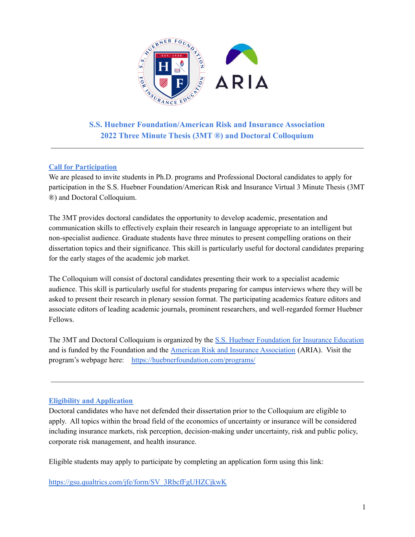

**S.S. Huebner Foundation/American Risk and Insurance Association 2022 Three Minute Thesis (3MT ®) and Doctoral Colloquium**

### **Call for Participation**

We are pleased to invite students in Ph.D. programs and Professional Doctoral candidates to apply for participation in the S.S. Huebner Foundation/American Risk and Insurance Virtual 3 Minute Thesis (3MT ®) and Doctoral Colloquium.

The 3MT provides doctoral candidates the opportunity to develop academic, presentation and communication skills to effectively explain their research in language appropriate to an intelligent but non-specialist audience. Graduate students have three minutes to present compelling orations on their dissertation topics and their significance. This skill is particularly useful for doctoral candidates preparing for the early stages of the academic job market.

The Colloquium will consist of doctoral candidates presenting their work to a specialist academic audience. This skill is particularly useful for students preparing for campus interviews where they will be asked to present their research in plenary session format. The participating academics feature editors and associate editors of leading academic journals, prominent researchers, and well-regarded former Huebner Fellows.

The 3MT and Doctoral Colloquium is organized by the S.S. Huebner [Foundation](https://huebnerfoundation.com/) for Insurance Education and is funded by the Foundation and the American Risk and Insurance [Association](http://aria.org) (ARIA). Visit the program's webpage here: <https://huebnerfoundation.com/programs/>

### **Eligibility and Application**

Doctoral candidates who have not defended their dissertation prior to the Colloquium are eligible to apply. All topics within the broad field of the economics of uncertainty or insurance will be considered including insurance markets, risk perception, decision-making under uncertainty, risk and public policy, corporate risk management, and health insurance.

Eligible students may apply to participate by completing an application form using this link:

[https://gsu.qualtrics.com/jfe/form/SV\\_3RbcfFgUHZCjkwK](https://gsu.qualtrics.com/jfe/form/SV_3RbcfFgUHZCjkwK)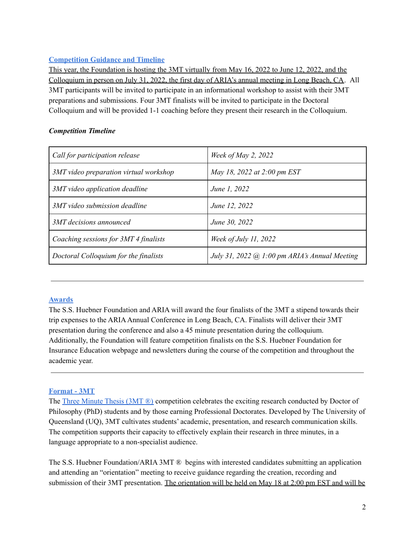## **Competition Guidance and Timeline**

This year, the Foundation is hosting the 3MT virtually from May 16, 2022 to June 12, 2022, and the Colloquium in person on July 31, 2022, the first day of ARIA's annual meeting in Long Beach, CA. All 3MT participants will be invited to participate in an informational workshop to assist with their 3MT preparations and submissions. Four 3MT finalists will be invited to participate in the Doctoral Colloquium and will be provided 1-1 coaching before they present their research in the Colloquium.

## *Competition Timeline*

| Call for participation release         | Week of May 2, 2022                                  |
|----------------------------------------|------------------------------------------------------|
| 3MT video preparation virtual workshop | May 18, 2022 at 2:00 pm EST                          |
| 3MT video application deadline         | June 1, 2022                                         |
| 3MT video submission deadline          | June 12, 2022                                        |
| 3MT decisions announced                | June 30, 2022                                        |
| Coaching sessions for 3MT 4 finalists  | Week of July 11, 2022                                |
| Doctoral Colloquium for the finalists  | July 31, 2022 $\omega$ 1:00 pm ARIA's Annual Meeting |

### **Awards**

The S.S. Huebner Foundation and ARIA will award the four finalists of the 3MT a stipend towards their trip expenses to the ARIAAnnual Conference in Long Beach, CA. Finalists will deliver their 3MT presentation during the conference and also a 45 minute presentation during the colloquium. Additionally, the Foundation will feature competition finalists on the S.S. Huebner Foundation for Insurance Education webpage and newsletters during the course of the competition and throughout the academic year.

### **Format - 3MT**

The Three [Minute](https://threeminutethesis.uq.edu.au/) Thesis (3MT ®) competition celebrates the exciting research conducted by Doctor of Philosophy (PhD) students and by those earning Professional Doctorates. Developed by The University of Queensland (UQ), 3MT cultivates students' academic, presentation, and research communication skills. The competition supports their capacity to effectively explain their research in three minutes, in a language appropriate to a non-specialist audience.

The S.S. Huebner Foundation/ARIA 3MT ® begins with interested candidates submitting an application and attending an "orientation" meeting to receive guidance regarding the creation, recording and submission of their 3MT presentation. The orientation will be held on May 18 at 2:00 pm EST and will be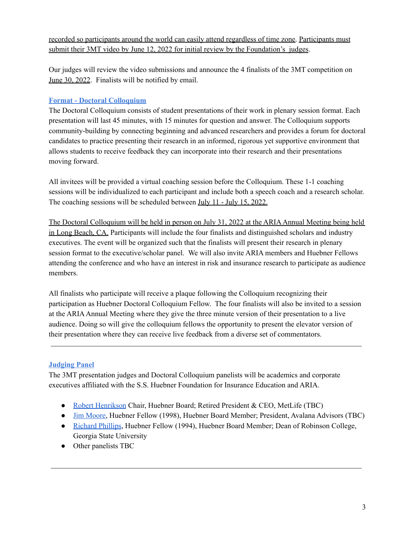recorded so participants around the world can easily attend regardless of time zone. Participants must submit their 3MT video by June 12, 2022 for initial review by the Foundation's judges.

Our judges will review the video submissions and announce the 4 finalists of the 3MT competition on June 30, 2022. Finalists will be notified by email.

## **Format - Doctoral Colloquium**

The Doctoral Colloquium consists of student presentations of their work in plenary session format. Each presentation will last 45 minutes, with 15 minutes for question and answer. The Colloquium supports community-building by connecting beginning and advanced researchers and provides a forum for doctoral candidates to practice presenting their research in an informed, rigorous yet supportive environment that allows students to receive feedback they can incorporate into their research and their presentations moving forward.

All invitees will be provided a virtual coaching session before the Colloquium. These 1-1 coaching sessions will be individualized to each participant and include both a speech coach and a research scholar. The coaching sessions will be scheduled between July 11 - July 15, 2022.

The Doctoral Colloquium will be held in person on July 31, 2022 at the ARIAAnnual Meeting being held in Long Beach, CA. Participants will include the four finalists and distinguished scholars and industry executives. The event will be organized such that the finalists will present their research in plenary session format to the executive/scholar panel. We will also invite ARIA members and Huebner Fellows attending the conference and who have an interest in risk and insurance research to participate as audience members.

All finalists who participate will receive a plaque following the Colloquium recognizing their participation as Huebner Doctoral Colloquium Fellow. The four finalists will also be invited to a session at the ARIAAnnual Meeting where they give the three minute version of their presentation to a live audience. Doing so will give the colloquium fellows the opportunity to present the elevator version of their presentation where they can receive live feedback from a diverse set of commentators.

# **Judging Panel**

The 3MT presentation judges and Doctoral Colloquium panelists will be academics and corporate executives affiliated with the S.S. Huebner Foundation for Insurance Education and ARIA.

- Robert [Henrikson](https://en.wikipedia.org/wiki/C._Robert_Henrikson) Chair, Huebner Board; Retired President & CEO, MetLife (TBC)
- Jim [Moore,](https://www.linkedin.com/in/jim-moore-65972b5/) Huebner Fellow (1998), Huebner Board Member; President, Avalana Advisors (TBC)
- [Richard](https://robinson.gsu.edu/profile/richard-d-phillips/) Phillips, Huebner Fellow (1994), Huebner Board Member; Dean of Robinson College, Georgia State University
- Other panelists TBC